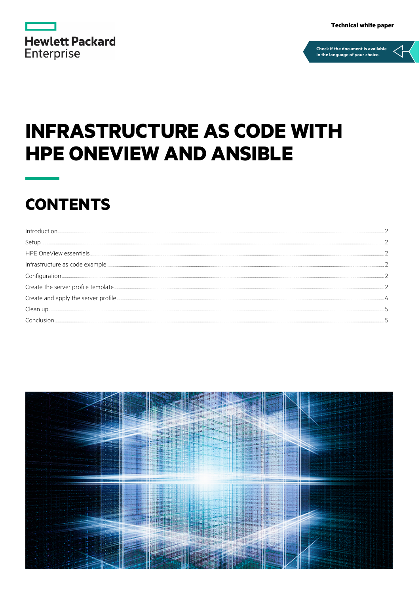| <b>Hewlett Packard</b> |  |  |
|------------------------|--|--|
| <b>Enterprise</b>      |  |  |

**Technical white paper** 



# **INFRASTRUCTURE AS CODE WITH HPE ONEVIEW AND ANSIBLE**

## **CONTENTS**

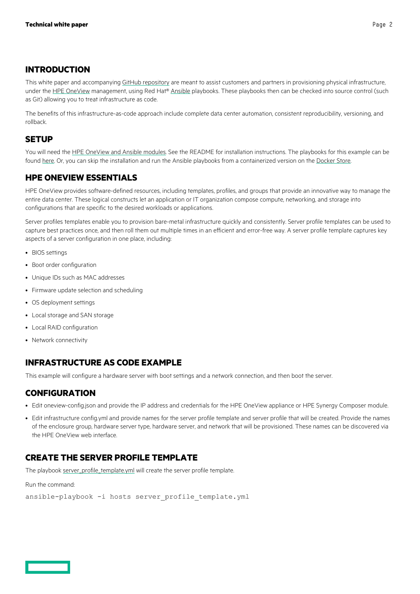#### <span id="page-1-0"></span>**INTRODUCTION**

This white paper and accompanyin[g GitHub repository](https://github.com/HewlettPackard/oneview-ansible-samples) are meant to assist customers and partners in provisioning physical infrastructure, under th[e HPE OneView](https://hpe.com/info/oneview) management, using Red Hat® [Ansible](https://www.ansible.com/) playbooks. These playbooks then can be checked into source control (such as Git) allowing you to treat infrastructure as code.

The benefits of this infrastructure-as-code approach include complete data center automation, consistent reproducibility, versioning, and rollback.

#### <span id="page-1-1"></span>**SETUP**

You will need the [HPE OneView and Ansible modules.](https://github.com/HewlettPackard/oneview-ansible) See the README for installation instructions. The playbooks for this example can be found [here.](https://github.com/HewlettPackard/oneview-ansible-samples/tree/master/infrastructure-as-code) Or, you can skip the installation and run the Ansible playbooks from a containerized version on th[e Docker Store.](https://store.docker.com/community/images/hewlettpackardenterprise/oneview-ansible-debian)

#### <span id="page-1-2"></span>**HPE ONEVIEW ESSENTIALS**

HPE OneView provides software-defined resources, including templates, profiles, and groups that provide an innovative way to manage the entire data center. These logical constructs let an application or IT organization compose compute, networking, and storage into configurations that are specific to the desired workloads or applications.

Server profiles templates enable you to provision bare-metal infrastructure quickly and consistently. Server profile templates can be used to capture best practices once, and then roll them out multiple times in an efficient and error-free way. A server profile template captures key aspects of a server configuration in one place, including:

- BIOS settings
- Boot order configuration
- Unique IDs such as MAC addresses
- Firmware update selection and scheduling
- OS deployment settings
- Local storage and SAN storage
- Local RAID configuration
- Network connectivity

#### <span id="page-1-3"></span>**INFRASTRUCTURE AS CODE EXAMPLE**

This example will configure a hardware server with boot settings and a network connection, and then boot the server.

#### <span id="page-1-4"></span>**CONFIGURATION**

- Edit oneview-config.json and provide the IP address and credentials for the HPE OneView appliance or HPE Synergy Composer module.
- Edit infrastructure config.yml and provide names for the server profile template and server profile that will be created. Provide the names of the enclosure group, hardware server type, hardware server, and network that will be provisioned. These names can be discovered via the HPE OneView web interface.

#### <span id="page-1-5"></span>**CREATE THE SERVER PROFILE TEMPLATE**

The playboo[k server\\_profile\\_template.yml](https://github.com/HewlettPackard/oneview-ansible-samples/blob/master/infrastructure-as-code/server_profile_template.yml) will create the server profile template.

Run the command:

```
ansible-playbook -i hosts server profile template.yml
```


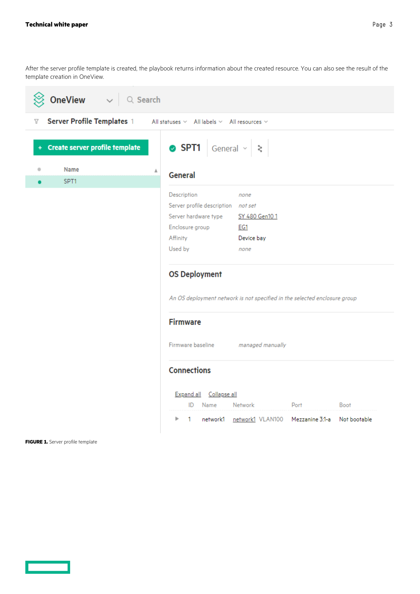After the server profile template is created, the playbook returns information about the created resource. You can also see the result of the template creation in OneView.

| <b>OneView</b> $\sim$ Q Search                        |                                                                                                                                                                                                          |  |  |  |
|-------------------------------------------------------|----------------------------------------------------------------------------------------------------------------------------------------------------------------------------------------------------------|--|--|--|
| Server Profile Templates 1<br>$\overline{\mathbb{Y}}$ | All statuses $\vee$ All labels $\vee$ All resources $\vee$                                                                                                                                               |  |  |  |
| + Create server profile template                      | SPT1 General $\vee$ $\ge$                                                                                                                                                                                |  |  |  |
| <b>Name</b><br>۰<br>Α                                 | <b>General</b>                                                                                                                                                                                           |  |  |  |
| SPT1<br>$\bullet$                                     |                                                                                                                                                                                                          |  |  |  |
|                                                       | Description<br>none<br>Server profile description not set<br>Server hardware type<br>SY 480 Gen101<br>Enclosure group<br><b>EG1</b><br>Affinity<br>Device bay<br>Used by<br>none<br><b>OS Deployment</b> |  |  |  |
|                                                       | An OS deployment network is not specified in the selected enclosure group                                                                                                                                |  |  |  |
|                                                       | <b>Firmware</b><br>Firmware baseline<br>managed manually                                                                                                                                                 |  |  |  |
|                                                       | <b>Connections</b><br>Expand all Collapse all<br>ID Name<br>Port<br><b>Boot</b><br>Network<br>network1 network1 VLAN100 Mezzanine 3:1-a Not bootable<br>1<br>Þ                                           |  |  |  |

**FIGURE 1.** Server profile template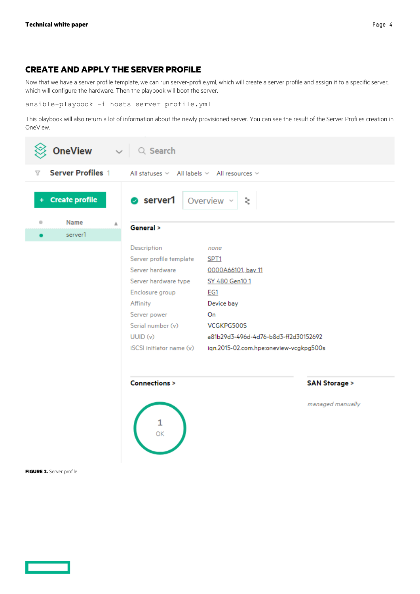#### <span id="page-3-0"></span>**CREATE AND APPLY THE SERVER PROFILE**

Now that we have a server profile template, we can run server-profile.yml, which will create a server profile and assign it to a specific server, which will configure the hardware. Then the playbook will boot the server.

ansible-playbook -i hosts server profile.yml

This playbook will also return a lot of information about the newly provisioned server. You can see the result of the Server Profiles creation in OneView.

| <b>OneView</b> $\vee$ Q Search                                                                                    |                                                                                                                                                                                |                                                                                                                                                                                                    |                                             |  |  |  |
|-------------------------------------------------------------------------------------------------------------------|--------------------------------------------------------------------------------------------------------------------------------------------------------------------------------|----------------------------------------------------------------------------------------------------------------------------------------------------------------------------------------------------|---------------------------------------------|--|--|--|
| <b>Server Profiles 1</b><br>$\overline{\mathbf{Y}}$<br>All statuses $\vee$ All labels $\vee$ All resources $\vee$ |                                                                                                                                                                                |                                                                                                                                                                                                    |                                             |  |  |  |
| + Create profile                                                                                                  | $\bullet$ server1 Overview $\sim$                                                                                                                                              | ς                                                                                                                                                                                                  |                                             |  |  |  |
| Name<br>۰<br>Δ                                                                                                    | General >                                                                                                                                                                      |                                                                                                                                                                                                    |                                             |  |  |  |
|                                                                                                                   | Description<br>Server profile template<br>Server hardware<br>Server hardware type SY 480 Gen101<br>Enclosure group<br>Affinity<br>Server power<br>Serial number (v)<br>UUID(w) | none<br>SPT <sub>1</sub><br>0000A66101, bay 11<br>EG1<br>Device bay<br>On<br>VCGKPG500S<br>a81b29d3-496d-4d76-b8d3-ff2d30152692<br>iSCSI initiator name (v) iqn.2015-02.com.hpe:oneview-vcgkpg500s |                                             |  |  |  |
|                                                                                                                   | <b>Connections &gt;</b><br>$\frac{1}{\alpha}$                                                                                                                                  |                                                                                                                                                                                                    | <b>SAN Storage &gt;</b><br>managed manually |  |  |  |
| FIGURE 2. Server profile                                                                                          |                                                                                                                                                                                |                                                                                                                                                                                                    |                                             |  |  |  |